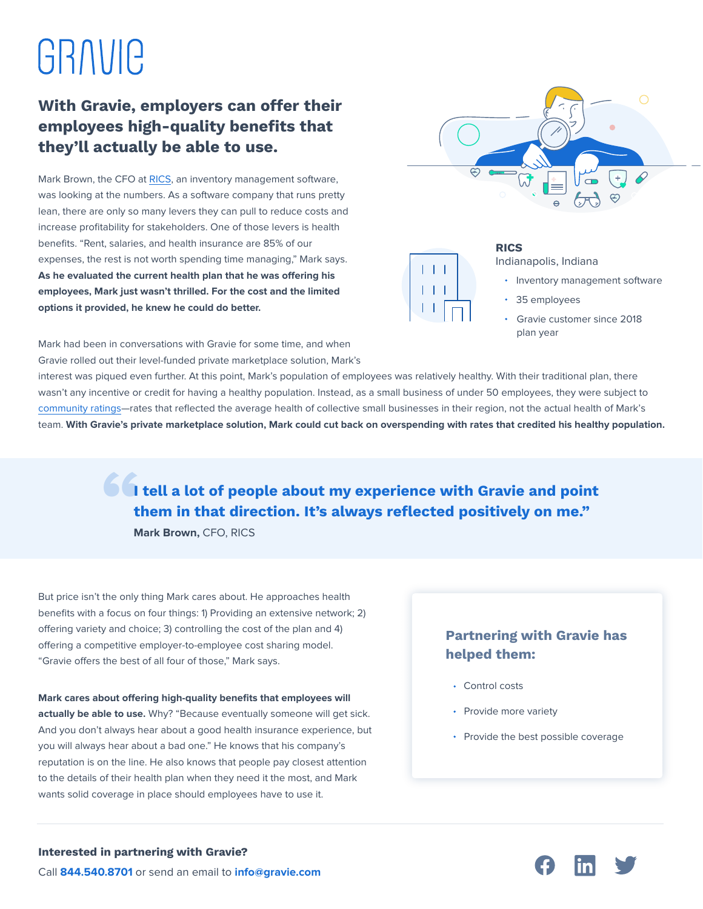# GRAVIC

## **With Gravie, employers can offer their employees high-quality benefits that they'll actually be able to use.**

Mark Brown, the CFO at [RICS,](https://www.ricssoftware.com/) an inventory management software, was looking at the numbers. As a software company that runs pretty lean, there are only so many levers they can pull to reduce costs and increase profitability for stakeholders. One of those levers is health benefits. "Rent, salaries, and health insurance are 85% of our expenses, the rest is not worth spending time managing," Mark says. As he evaluated the current health plan that he was offering his **employees, Mark just wasn't thrilled. For the cost and the limited options it provided, he knew he could do better.**





#### **RICS**

Indianapolis, Indiana

- Inventory management software
- 35 employees
- Gravie customer since 2018 plan year

Mark had been in conversations with Gravie for some time, and when Gravie rolled out their level-funded private marketplace solution, Mark's

interest was piqued even further. At this point, Mark's population of employees was relatively healthy. With their traditional plan, there wasn't any incentive or credit for having a healthy population. Instead, as a small business of under 50 employees, they were subject to [community ratings—](https://www.gravie.com/blog/community-rating-is-penalizing-healthy-small-to-medium-sized-businesses/)rates that reflected the average health of collective small businesses in their region, not the actual health of Mark's team. **With Gravie's private marketplace solution, Mark could cut back on overspending with rates that credited his healthy population.** 

> **I** tell a lot of people about my experience with Gravie and point **them in that direction. It's always reflected positively on me."**

**Mark Brown,** CFO, RICS

But price isn't the only thing Mark cares about. He approaches health benefits with a focus on four things: 1) Providing an extensive network; 2) offering variety and choice; 3) controlling the cost of the plan and 4) offering a competitive employer-to-employee cost sharing model. "Gravie offers the best of all four of those," Mark says.

#### **Mark cares about offering high-quality benefits that employees will**

**actually be able to use.** Why? "Because eventually someone will get sick. And you don't always hear about a good health insurance experience, but you will always hear about a bad one." He knows that his company's reputation is on the line. He also knows that people pay closest attention to the details of their health plan when they need it the most, and Mark wants solid coverage in place should employees have to use it.

### **Partnering with Gravie has helped them:**

- Control costs
- Provide more variety
- Provide the best possible coverage